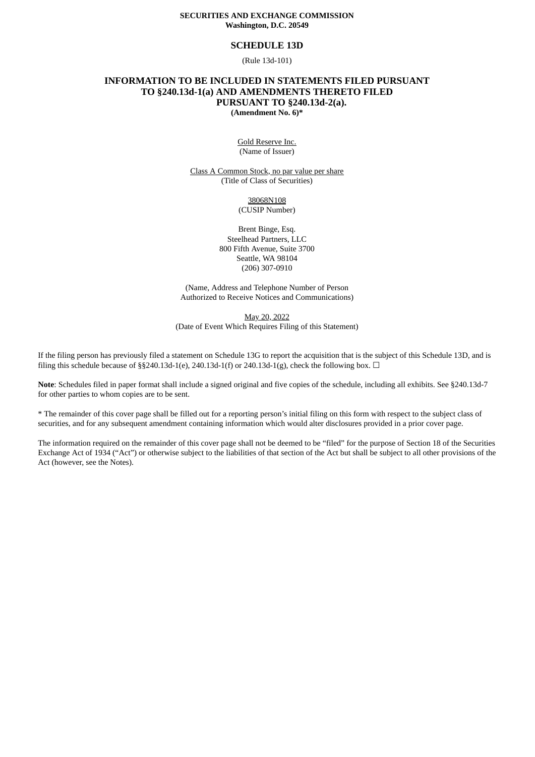### **SECURITIES AND EXCHANGE COMMISSION Washington, D.C. 20549**

### **SCHEDULE 13D**

(Rule 13d-101)

## **INFORMATION TO BE INCLUDED IN STATEMENTS FILED PURSUANT TO §240.13d-1(a) AND AMENDMENTS THERETO FILED PURSUANT TO §240.13d-2(a). (Amendment No. 6)\***

Gold Reserve Inc. (Name of Issuer)

Class A Common Stock, no par value per share (Title of Class of Securities)

> 38068N108 (CUSIP Number)

Brent Binge, Esq. Steelhead Partners, LLC 800 Fifth Avenue, Suite 3700 Seattle, WA 98104 (206) 307-0910

(Name, Address and Telephone Number of Person Authorized to Receive Notices and Communications)

May 20, 2022 (Date of Event Which Requires Filing of this Statement)

If the filing person has previously filed a statement on Schedule 13G to report the acquisition that is the subject of this Schedule 13D, and is filing this schedule because of §§240.13d-1(e), 240.13d-1(f) or 240.13d-1(g), check the following box.  $\Box$ 

**Note**: Schedules filed in paper format shall include a signed original and five copies of the schedule, including all exhibits. See §240.13d-7 for other parties to whom copies are to be sent.

\* The remainder of this cover page shall be filled out for a reporting person's initial filing on this form with respect to the subject class of securities, and for any subsequent amendment containing information which would alter disclosures provided in a prior cover page.

The information required on the remainder of this cover page shall not be deemed to be "filed" for the purpose of Section 18 of the Securities Exchange Act of 1934 ("Act") or otherwise subject to the liabilities of that section of the Act but shall be subject to all other provisions of the Act (however, see the Notes).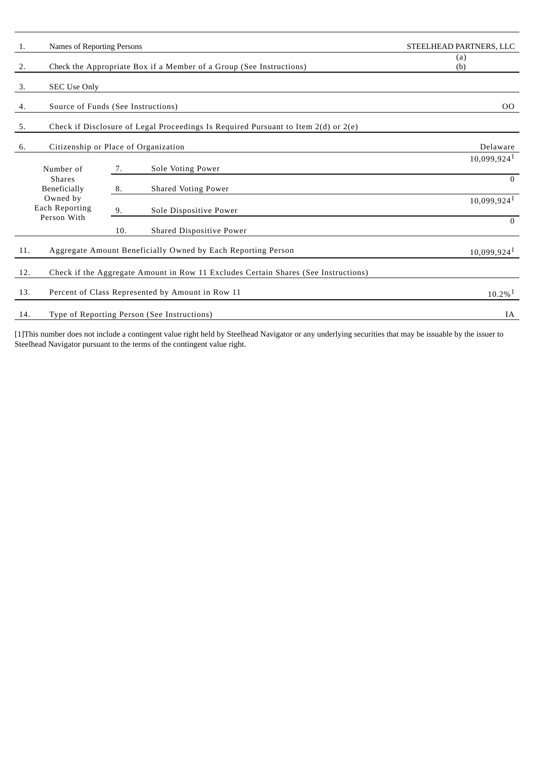| 1.                                                          | Names of Reporting Persons                                                |     |                                                                                        | STEELHEAD PARTNERS, LLC   |
|-------------------------------------------------------------|---------------------------------------------------------------------------|-----|----------------------------------------------------------------------------------------|---------------------------|
| 2.                                                          | Check the Appropriate Box if a Member of a Group (See Instructions)       |     |                                                                                        | (a)<br>(b)                |
| 3.                                                          | <b>SEC Use Only</b>                                                       |     |                                                                                        |                           |
| 4.                                                          | Source of Funds (See Instructions)                                        | 00  |                                                                                        |                           |
| 5.                                                          |                                                                           |     | Check if Disclosure of Legal Proceedings Is Required Pursuant to Item $2(d)$ or $2(e)$ |                           |
| 6.                                                          | Citizenship or Place of Organization                                      |     |                                                                                        | Delaware                  |
|                                                             | Number of                                                                 | 7.  | Sole Voting Power                                                                      | $10,099,924$ <sup>1</sup> |
| <b>Shares</b><br>Beneficially<br>Owned by<br>Each Reporting |                                                                           | 8.  | <b>Shared Voting Power</b>                                                             | $\theta$                  |
|                                                             |                                                                           | 9.  | Sole Dispositive Power                                                                 | $10,099,924$ <sup>1</sup> |
|                                                             | Person With                                                               | 10. | Shared Dispositive Power                                                               | $\Omega$                  |
| 11.                                                         |                                                                           |     | Aggregate Amount Beneficially Owned by Each Reporting Person                           | 10,099,924 <sup>1</sup>   |
| 12.                                                         |                                                                           |     | Check if the Aggregate Amount in Row 11 Excludes Certain Shares (See Instructions)     |                           |
| 13.                                                         | Percent of Class Represented by Amount in Row 11<br>$10.2\%$ <sup>1</sup> |     |                                                                                        |                           |
| 14.                                                         | Type of Reporting Person (See Instructions)<br>IA                         |     |                                                                                        |                           |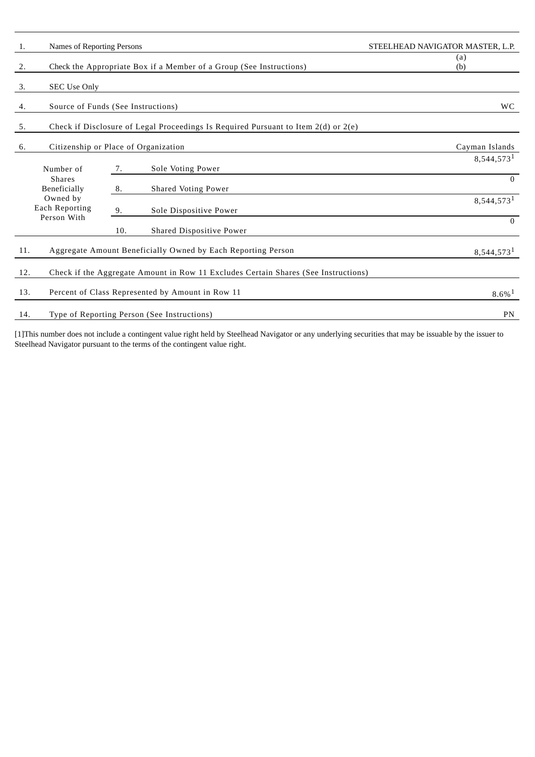| 1.                                                                                            | Names of Reporting Persons                                          |     |                                                                                    | STEELHEAD NAVIGATOR MASTER, L.P. |
|-----------------------------------------------------------------------------------------------|---------------------------------------------------------------------|-----|------------------------------------------------------------------------------------|----------------------------------|
| 2.                                                                                            | Check the Appropriate Box if a Member of a Group (See Instructions) |     |                                                                                    | (a)<br>(b)                       |
| 3.                                                                                            | <b>SEC Use Only</b>                                                 |     |                                                                                    |                                  |
| 4.                                                                                            | Source of Funds (See Instructions)                                  |     | <b>WC</b>                                                                          |                                  |
| 5.<br>Check if Disclosure of Legal Proceedings Is Required Pursuant to Item $2(d)$ or $2(e)$  |                                                                     |     |                                                                                    |                                  |
| 6.                                                                                            | Citizenship or Place of Organization                                |     |                                                                                    | Cayman Islands                   |
|                                                                                               | Number of                                                           | 7.  | Sole Voting Power                                                                  | 8,544,573 <sup>1</sup>           |
| <b>Shares</b><br>Beneficially<br>Owned by<br>Each Reporting                                   |                                                                     | 8.  | <b>Shared Voting Power</b>                                                         | $\Omega$                         |
|                                                                                               |                                                                     | 9.  | Sole Dispositive Power                                                             | 8,544,573 <sup>1</sup>           |
|                                                                                               | Person With                                                         | 10. | Shared Dispositive Power                                                           | $\Omega$                         |
| Aggregate Amount Beneficially Owned by Each Reporting Person<br>11.<br>8,544,573 <sup>1</sup> |                                                                     |     |                                                                                    |                                  |
| 12.                                                                                           |                                                                     |     | Check if the Aggregate Amount in Row 11 Excludes Certain Shares (See Instructions) |                                  |
| Percent of Class Represented by Amount in Row 11<br>13.<br>$8.6\%$ <sup>1</sup>               |                                                                     |     |                                                                                    |                                  |
| 14.                                                                                           | Type of Reporting Person (See Instructions)<br>PN                   |     |                                                                                    |                                  |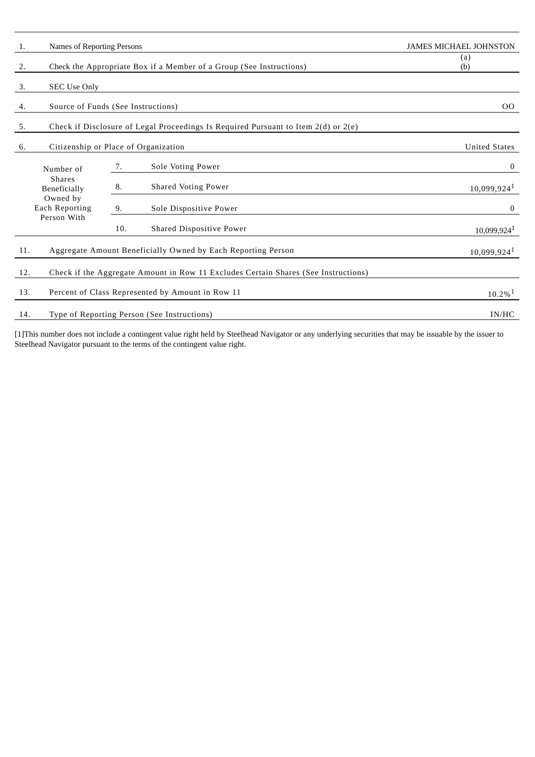| 1.                                                          | Names of Reporting Persons                                                                |     |                                                                                    | <b>JAMES MICHAEL JOHNSTON</b> |
|-------------------------------------------------------------|-------------------------------------------------------------------------------------------|-----|------------------------------------------------------------------------------------|-------------------------------|
| 2.                                                          | Check the Appropriate Box if a Member of a Group (See Instructions)                       |     |                                                                                    | (a)<br>(b)                    |
| 3.                                                          | <b>SEC Use Only</b>                                                                       |     |                                                                                    |                               |
| 4.                                                          | Source of Funds (See Instructions)                                                        |     |                                                                                    | 00                            |
| 5.                                                          | Check if Disclosure of Legal Proceedings Is Required Pursuant to Item $2(d)$ or $2(e)$    |     |                                                                                    |                               |
| 6.                                                          | Citizenship or Place of Organization<br><b>United States</b>                              |     |                                                                                    |                               |
|                                                             | Number of                                                                                 | 7.  | Sole Voting Power                                                                  | $\bf{0}$                      |
| <b>Shares</b><br>Beneficially<br>Owned by<br>Each Reporting |                                                                                           | 8.  | <b>Shared Voting Power</b>                                                         | $10,099,924$ <sup>1</sup>     |
|                                                             |                                                                                           | 9.  | Sole Dispositive Power                                                             | $\bf{0}$                      |
|                                                             | Person With                                                                               | 10. | Shared Dispositive Power                                                           | $10,099,924$ <sup>1</sup>     |
| 11.                                                         | Aggregate Amount Beneficially Owned by Each Reporting Person<br>$10,099,924$ <sup>1</sup> |     |                                                                                    |                               |
| 12.                                                         |                                                                                           |     | Check if the Aggregate Amount in Row 11 Excludes Certain Shares (See Instructions) |                               |
| 13.                                                         | Percent of Class Represented by Amount in Row 11<br>$10.2\%$ <sup>1</sup>                 |     |                                                                                    |                               |
| 14.                                                         | Type of Reporting Person (See Instructions)<br>IN/HC                                      |     |                                                                                    |                               |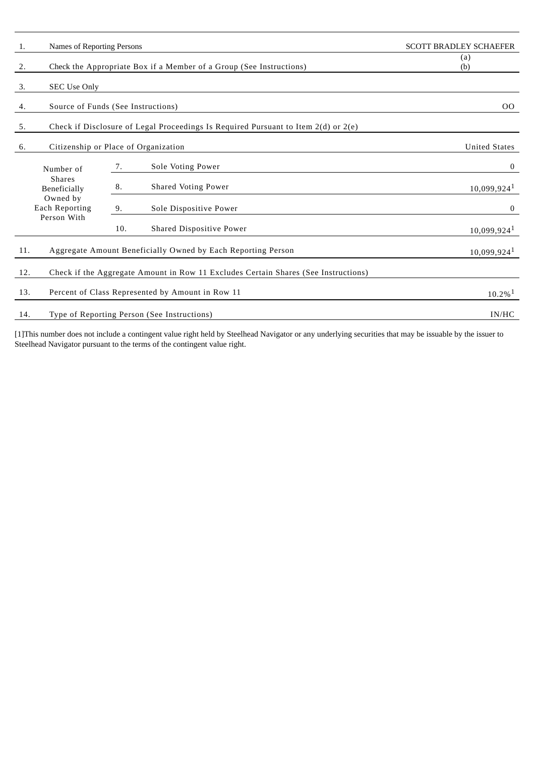| 1.                                                                                               | Names of Reporting Persons                                                             |     |                                                                                    | <b>SCOTT BRADLEY SCHAEFER</b> |
|--------------------------------------------------------------------------------------------------|----------------------------------------------------------------------------------------|-----|------------------------------------------------------------------------------------|-------------------------------|
| 2.                                                                                               | Check the Appropriate Box if a Member of a Group (See Instructions)                    |     |                                                                                    | (a)<br>(b)                    |
| 3.                                                                                               | <b>SEC Use Only</b>                                                                    |     |                                                                                    |                               |
| 4.                                                                                               | Source of Funds (See Instructions)                                                     | 00  |                                                                                    |                               |
| 5.                                                                                               | Check if Disclosure of Legal Proceedings Is Required Pursuant to Item $2(d)$ or $2(e)$ |     |                                                                                    |                               |
| 6.                                                                                               | Citizenship or Place of Organization<br><b>United States</b>                           |     |                                                                                    |                               |
|                                                                                                  | Number of                                                                              | 7.  | Sole Voting Power                                                                  | $\bf{0}$                      |
| <b>Shares</b><br>Beneficially<br>Owned by<br>Each Reporting                                      |                                                                                        | 8.  | <b>Shared Voting Power</b>                                                         | $10,099,924$ <sup>1</sup>     |
|                                                                                                  |                                                                                        | 9.  | Sole Dispositive Power                                                             | $\bf{0}$                      |
|                                                                                                  | Person With                                                                            | 10. | Shared Dispositive Power                                                           | $10,099,924$ <sup>1</sup>     |
| Aggregate Amount Beneficially Owned by Each Reporting Person<br>11.<br>$10,099,924$ <sup>1</sup> |                                                                                        |     |                                                                                    |                               |
| 12.                                                                                              |                                                                                        |     | Check if the Aggregate Amount in Row 11 Excludes Certain Shares (See Instructions) |                               |
| 13.<br>Percent of Class Represented by Amount in Row 11<br>$10.2\%$ <sup>1</sup>                 |                                                                                        |     |                                                                                    |                               |
| 14.                                                                                              | Type of Reporting Person (See Instructions)<br>IN/HC                                   |     |                                                                                    |                               |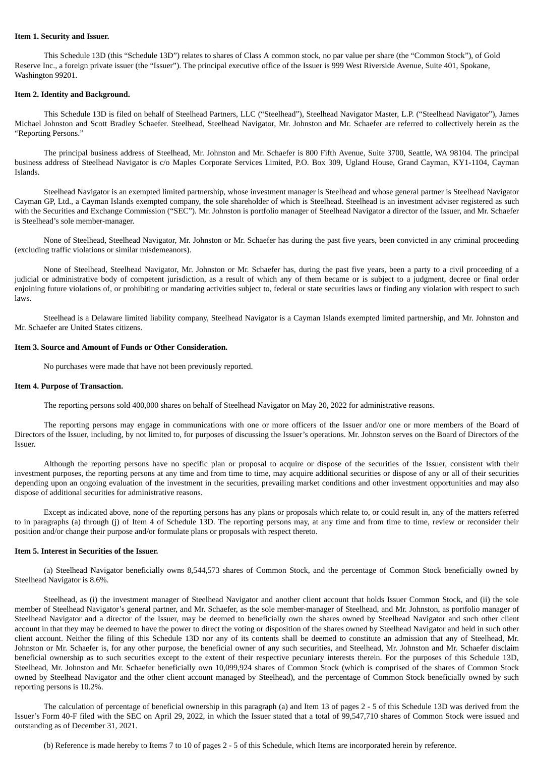#### **Item 1. Security and Issuer.**

This Schedule 13D (this "Schedule 13D") relates to shares of Class A common stock, no par value per share (the "Common Stock"), of Gold Reserve Inc., a foreign private issuer (the "Issuer"). The principal executive office of the Issuer is 999 West Riverside Avenue, Suite 401, Spokane, Washington 99201.

#### **Item 2. Identity and Background.**

This Schedule 13D is filed on behalf of Steelhead Partners, LLC ("Steelhead"), Steelhead Navigator Master, L.P. ("Steelhead Navigator"), James Michael Johnston and Scott Bradley Schaefer. Steelhead, Steelhead Navigator, Mr. Johnston and Mr. Schaefer are referred to collectively herein as the "Reporting Persons."

The principal business address of Steelhead, Mr. Johnston and Mr. Schaefer is 800 Fifth Avenue, Suite 3700, Seattle, WA 98104. The principal business address of Steelhead Navigator is c/o Maples Corporate Services Limited, P.O. Box 309, Ugland House, Grand Cayman, KY1-1104, Cayman Islands.

Steelhead Navigator is an exempted limited partnership, whose investment manager is Steelhead and whose general partner is Steelhead Navigator Cayman GP, Ltd., a Cayman Islands exempted company, the sole shareholder of which is Steelhead. Steelhead is an investment adviser registered as such with the Securities and Exchange Commission ("SEC"). Mr. Johnston is portfolio manager of Steelhead Navigator a director of the Issuer, and Mr. Schaefer is Steelhead's sole member-manager.

None of Steelhead, Steelhead Navigator, Mr. Johnston or Mr. Schaefer has during the past five years, been convicted in any criminal proceeding (excluding traffic violations or similar misdemeanors).

None of Steelhead, Steelhead Navigator, Mr. Johnston or Mr. Schaefer has, during the past five years, been a party to a civil proceeding of a judicial or administrative body of competent jurisdiction, as a result of which any of them became or is subject to a judgment, decree or final order enjoining future violations of, or prohibiting or mandating activities subject to, federal or state securities laws or finding any violation with respect to such laws.

Steelhead is a Delaware limited liability company, Steelhead Navigator is a Cayman Islands exempted limited partnership, and Mr. Johnston and Mr. Schaefer are United States citizens.

#### **Item 3. Source and Amount of Funds or Other Consideration.**

No purchases were made that have not been previously reported.

#### **Item 4. Purpose of Transaction.**

The reporting persons sold 400,000 shares on behalf of Steelhead Navigator on May 20, 2022 for administrative reasons.

The reporting persons may engage in communications with one or more officers of the Issuer and/or one or more members of the Board of Directors of the Issuer, including, by not limited to, for purposes of discussing the Issuer's operations. Mr. Johnston serves on the Board of Directors of the Issuer.

Although the reporting persons have no specific plan or proposal to acquire or dispose of the securities of the Issuer, consistent with their investment purposes, the reporting persons at any time and from time to time, may acquire additional securities or dispose of any or all of their securities depending upon an ongoing evaluation of the investment in the securities, prevailing market conditions and other investment opportunities and may also dispose of additional securities for administrative reasons.

Except as indicated above, none of the reporting persons has any plans or proposals which relate to, or could result in, any of the matters referred to in paragraphs (a) through (j) of Item 4 of Schedule 13D. The reporting persons may, at any time and from time to time, review or reconsider their position and/or change their purpose and/or formulate plans or proposals with respect thereto.

#### **Item 5. Interest in Securities of the Issuer.**

(a) Steelhead Navigator beneficially owns 8,544,573 shares of Common Stock, and the percentage of Common Stock beneficially owned by Steelhead Navigator is 8.6%.

Steelhead, as (i) the investment manager of Steelhead Navigator and another client account that holds Issuer Common Stock, and (ii) the sole member of Steelhead Navigator's general partner, and Mr. Schaefer, as the sole member-manager of Steelhead, and Mr. Johnston, as portfolio manager of Steelhead Navigator and a director of the Issuer, may be deemed to beneficially own the shares owned by Steelhead Navigator and such other client account in that they may be deemed to have the power to direct the voting or disposition of the shares owned by Steelhead Navigator and held in such other client account. Neither the filing of this Schedule 13D nor any of its contents shall be deemed to constitute an admission that any of Steelhead, Mr. Johnston or Mr. Schaefer is, for any other purpose, the beneficial owner of any such securities, and Steelhead, Mr. Johnston and Mr. Schaefer disclaim beneficial ownership as to such securities except to the extent of their respective pecuniary interests therein. For the purposes of this Schedule 13D, Steelhead, Mr. Johnston and Mr. Schaefer beneficially own 10,099,924 shares of Common Stock (which is comprised of the shares of Common Stock owned by Steelhead Navigator and the other client account managed by Steelhead), and the percentage of Common Stock beneficially owned by such reporting persons is 10.2%.

The calculation of percentage of beneficial ownership in this paragraph (a) and Item 13 of pages 2 - 5 of this Schedule 13D was derived from the Issuer's Form 40-F filed with the SEC on April 29, 2022, in which the Issuer stated that a total of 99,547,710 shares of Common Stock were issued and outstanding as of December 31, 2021.

(b) Reference is made hereby to Items 7 to 10 of pages 2 - 5 of this Schedule, which Items are incorporated herein by reference.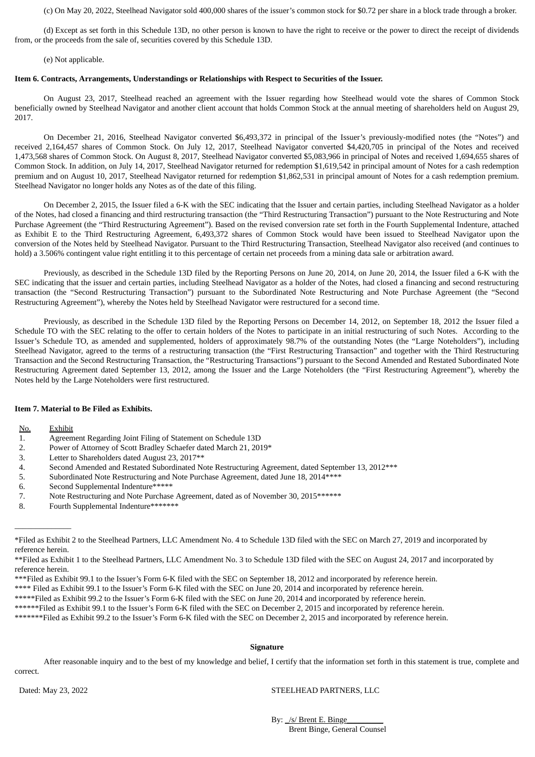(c) On May 20, 2022, Steelhead Navigator sold 400,000 shares of the issuer's common stock for \$0.72 per share in a block trade through a broker.

(d) Except as set forth in this Schedule 13D, no other person is known to have the right to receive or the power to direct the receipt of dividends from, or the proceeds from the sale of, securities covered by this Schedule 13D.

(e) Not applicable.

### **Item 6. Contracts, Arrangements, Understandings or Relationships with Respect to Securities of the Issuer.**

On August 23, 2017, Steelhead reached an agreement with the Issuer regarding how Steelhead would vote the shares of Common Stock beneficially owned by Steelhead Navigator and another client account that holds Common Stock at the annual meeting of shareholders held on August 29, 2017.

On December 21, 2016, Steelhead Navigator converted \$6,493,372 in principal of the Issuer's previously-modified notes (the "Notes") and received 2,164,457 shares of Common Stock. On July 12, 2017, Steelhead Navigator converted \$4,420,705 in principal of the Notes and received 1,473,568 shares of Common Stock. On August 8, 2017, Steelhead Navigator converted \$5,083,966 in principal of Notes and received 1,694,655 shares of Common Stock. In addition, on July 14, 2017, Steelhead Navigator returned for redemption \$1,619,542 in principal amount of Notes for a cash redemption premium and on August 10, 2017, Steelhead Navigator returned for redemption \$1,862,531 in principal amount of Notes for a cash redemption premium. Steelhead Navigator no longer holds any Notes as of the date of this filing.

On December 2, 2015, the Issuer filed a 6-K with the SEC indicating that the Issuer and certain parties, including Steelhead Navigator as a holder of the Notes, had closed a financing and third restructuring transaction (the "Third Restructuring Transaction") pursuant to the Note Restructuring and Note Purchase Agreement (the "Third Restructuring Agreement"). Based on the revised conversion rate set forth in the Fourth Supplemental Indenture, attached as Exhibit E to the Third Restructuring Agreement, 6,493,372 shares of Common Stock would have been issued to Steelhead Navigator upon the conversion of the Notes held by Steelhead Navigator. Pursuant to the Third Restructuring Transaction, Steelhead Navigator also received (and continues to hold) a 3.506% contingent value right entitling it to this percentage of certain net proceeds from a mining data sale or arbitration award.

Previously, as described in the Schedule 13D filed by the Reporting Persons on June 20, 2014, on June 20, 2014, the Issuer filed a 6-K with the SEC indicating that the issuer and certain parties, including Steelhead Navigator as a holder of the Notes, had closed a financing and second restructuring transaction (the "Second Restructuring Transaction") pursuant to the Subordinated Note Restructuring and Note Purchase Agreement (the "Second Restructuring Agreement"), whereby the Notes held by Steelhead Navigator were restructured for a second time.

Previously, as described in the Schedule 13D filed by the Reporting Persons on December 14, 2012, on September 18, 2012 the Issuer filed a Schedule TO with the SEC relating to the offer to certain holders of the Notes to participate in an initial restructuring of such Notes. According to the Issuer's Schedule TO, as amended and supplemented, holders of approximately 98.7% of the outstanding Notes (the "Large Noteholders"), including Steelhead Navigator, agreed to the terms of a restructuring transaction (the "First Restructuring Transaction" and together with the Third Restructuring Transaction and the Second Restructuring Transaction, the "Restructuring Transactions") pursuant to the Second Amended and Restated Subordinated Note Restructuring Agreement dated September 13, 2012, among the Issuer and the Large Noteholders (the "First Restructuring Agreement"), whereby the Notes held by the Large Noteholders were first restructured.

## **Item 7. Material to Be Filed as Exhibits.**

No. Exhibit

\_\_\_\_\_\_\_\_\_\_\_\_\_\_

- 1. Agreement Regarding Joint Filing of Statement on Schedule 13D
- 2. Power of Attorney of Scott Bradley Schaefer dated March 21, 2019\*
- 3. Letter to Shareholders dated August 23, 2017\*\*<br>4. Second Amended and Restated Subordinated No
- 4. Second Amended and Restated Subordinated Note Restructuring Agreement, dated September 13, 2012\*\*\*
- 5. Subordinated Note Restructuring and Note Purchase Agreement, dated June 18, 2014 \*\*\*\*
- 6. Second Supplemental Indenture\*\*\*\*\*
- 7. Note Restructuring and Note Purchase Agreement, dated as of November 30, 2015\*\*\*\*\*\*
- 8. Fourth Supplemental Indenture\*\*\*\*\*\*\*

#### **Signature**

After reasonable inquiry and to the best of my knowledge and belief, I certify that the information set forth in this statement is true, complete and correct.

#### Dated: May 23, 2022 STEELHEAD PARTNERS, LLC

By: /s/ Brent E. Binge Brent Binge, General Counsel

<sup>\*</sup>Filed as Exhibit 2 to the Steelhead Partners, LLC Amendment No. 4 to Schedule 13D filed with the SEC on March 27, 2019 and incorporated by reference herein.

<sup>\*\*</sup>Filed as Exhibit 1 to the Steelhead Partners, LLC Amendment No. 3 to Schedule 13D filed with the SEC on August 24, 2017 and incorporated by reference herein.

<sup>\*\*\*</sup>Filed as Exhibit 99.1 to the Issuer's Form 6-K filed with the SEC on September 18, 2012 and incorporated by reference herein.

<sup>\*\*\*\*</sup> Filed as Exhibit 99.1 to the Issuer's Form 6-K filed with the SEC on June 20, 2014 and incorporated by reference herein.

<sup>\*\*\*\*\*</sup>Filed as Exhibit 99.2 to the Issuer's Form 6-K filed with the SEC on June 20, 2014 and incorporated by reference herein.

<sup>\*\*\*\*\*\*</sup>Filed as Exhibit 99.1 to the Issuer's Form 6-K filed with the SEC on December 2, 2015 and incorporated by reference herein.

<sup>\*\*\*\*\*\*\*</sup>Filed as Exhibit 99.2 to the Issuer's Form 6-K filed with the SEC on December 2, 2015 and incorporated by reference herein.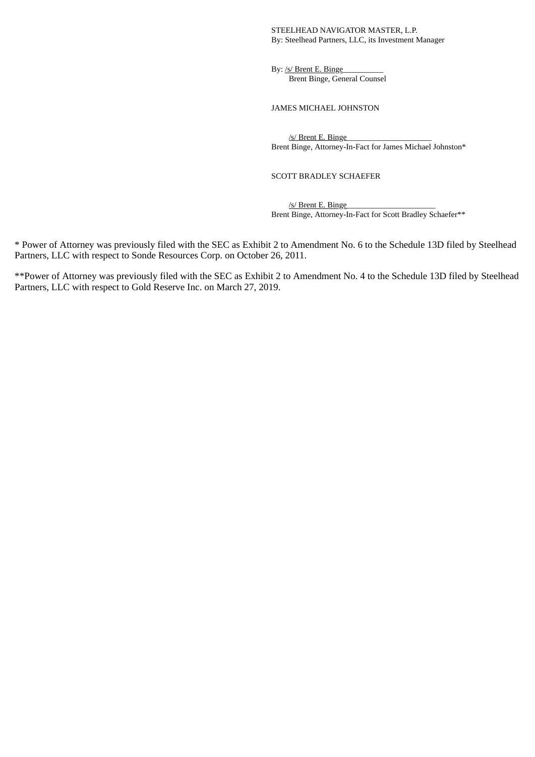### STEELHEAD NAVIGATOR MASTER, L.P. By: Steelhead Partners, LLC, its Investment Manager

By: /s/ Brent E. Binge Brent Binge, General Counsel

JAMES MICHAEL JOHNSTON

/s/ Brent E. Binge Brent Binge, Attorney-In-Fact for James Michael Johnston\*

SCOTT BRADLEY SCHAEFER

/s/ Brent E. Binge Brent Binge, Attorney-In-Fact for Scott Bradley Schaefer\*\*

\* Power of Attorney was previously filed with the SEC as Exhibit 2 to Amendment No. 6 to the Schedule 13D filed by Steelhead Partners, LLC with respect to Sonde Resources Corp. on October 26, 2011.

\*\*Power of Attorney was previously filed with the SEC as Exhibit 2 to Amendment No. 4 to the Schedule 13D filed by Steelhead Partners, LLC with respect to Gold Reserve Inc. on March 27, 2019.